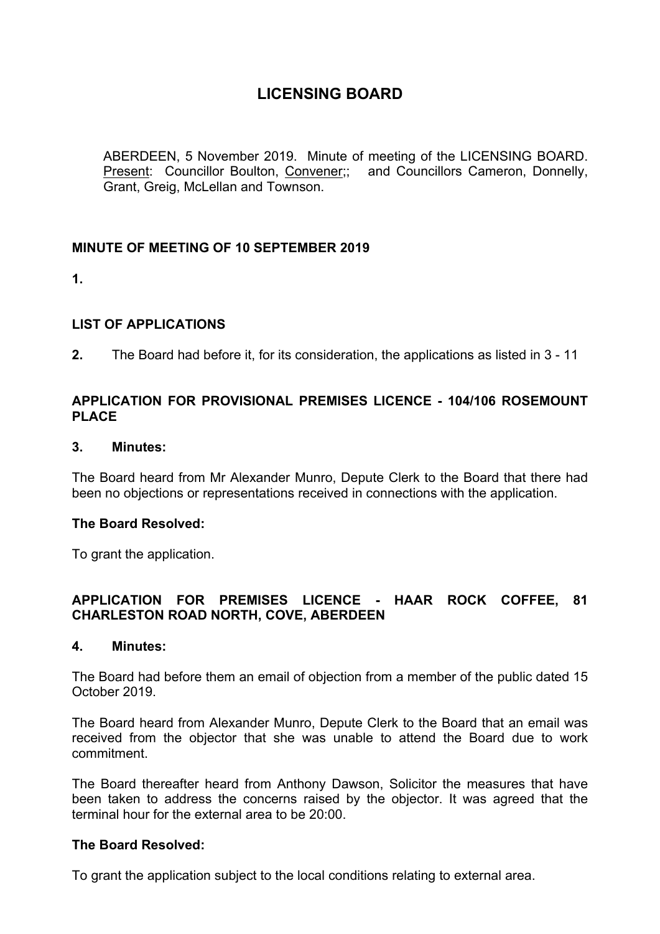ABERDEEN, 5 November 2019. Minute of meeting of the LICENSING BOARD. Present: Councillor Boulton, Convener;; and Councillors Cameron, Donnelly, Grant, Greig, McLellan and Townson.

## **MINUTE OF MEETING OF 10 SEPTEMBER 2019**

**1.**

## **LIST OF APPLICATIONS**

**2.** The Board had before it, for its consideration, the applications as listed in 3 - 11

## **APPLICATION FOR PROVISIONAL PREMISES LICENCE - 104/106 ROSEMOUNT PLACE**

#### **3. Minutes:**

The Board heard from Mr Alexander Munro, Depute Clerk to the Board that there had been no objections or representations received in connections with the application.

#### **The Board Resolved:**

To grant the application.

# **APPLICATION FOR PREMISES LICENCE - HAAR ROCK COFFEE, 81 CHARLESTON ROAD NORTH, COVE, ABERDEEN**

#### **4. Minutes:**

The Board had before them an email of objection from a member of the public dated 15 October 2019.

The Board heard from Alexander Munro, Depute Clerk to the Board that an email was received from the objector that she was unable to attend the Board due to work commitment.

The Board thereafter heard from Anthony Dawson, Solicitor the measures that have been taken to address the concerns raised by the objector. It was agreed that the terminal hour for the external area to be 20:00.

#### **The Board Resolved:**

To grant the application subject to the local conditions relating to external area.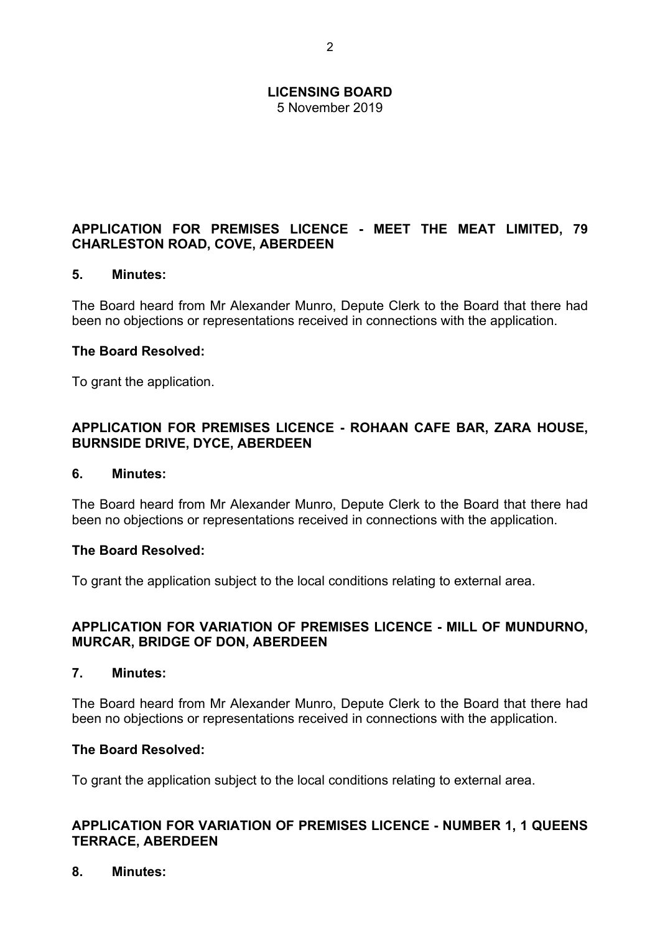5 November 2019

# **APPLICATION FOR PREMISES LICENCE - MEET THE MEAT LIMITED, 79 CHARLESTON ROAD, COVE, ABERDEEN**

## **5. Minutes:**

The Board heard from Mr Alexander Munro, Depute Clerk to the Board that there had been no objections or representations received in connections with the application.

#### **The Board Resolved:**

To grant the application.

## **APPLICATION FOR PREMISES LICENCE - ROHAAN CAFE BAR, ZARA HOUSE, BURNSIDE DRIVE, DYCE, ABERDEEN**

#### **6. Minutes:**

The Board heard from Mr Alexander Munro, Depute Clerk to the Board that there had been no objections or representations received in connections with the application.

#### **The Board Resolved:**

To grant the application subject to the local conditions relating to external area.

## **APPLICATION FOR VARIATION OF PREMISES LICENCE - MILL OF MUNDURNO, MURCAR, BRIDGE OF DON, ABERDEEN**

#### **7. Minutes:**

The Board heard from Mr Alexander Munro, Depute Clerk to the Board that there had been no objections or representations received in connections with the application.

#### **The Board Resolved:**

To grant the application subject to the local conditions relating to external area.

## **APPLICATION FOR VARIATION OF PREMISES LICENCE - NUMBER 1, 1 QUEENS TERRACE, ABERDEEN**

**8. Minutes:**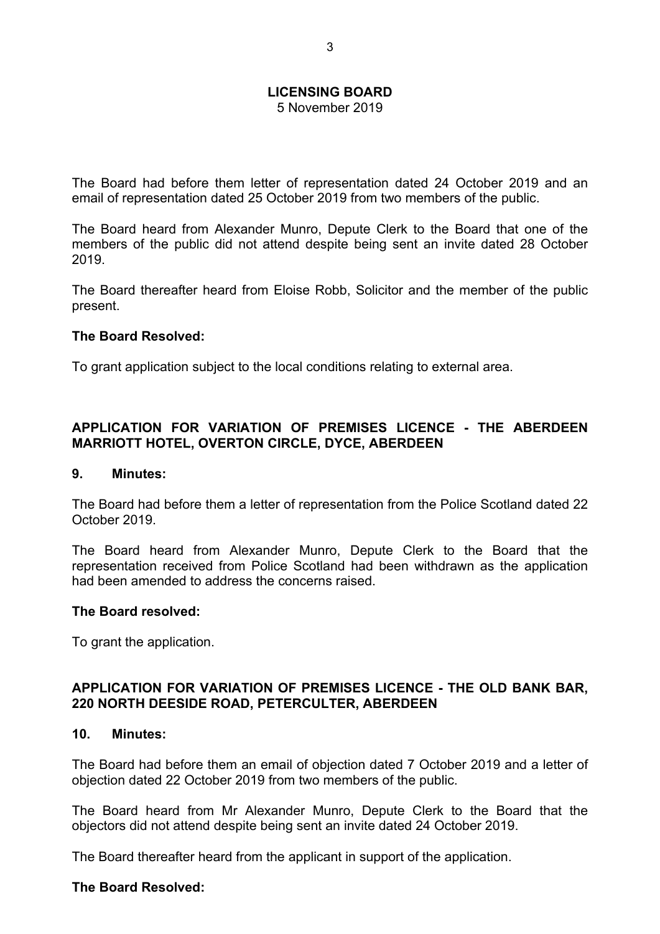5 November 2019

The Board had before them letter of representation dated 24 October 2019 and an email of representation dated 25 October 2019 from two members of the public.

The Board heard from Alexander Munro, Depute Clerk to the Board that one of the members of the public did not attend despite being sent an invite dated 28 October 2019.

The Board thereafter heard from Eloise Robb, Solicitor and the member of the public present.

#### **The Board Resolved:**

To grant application subject to the local conditions relating to external area.

# **APPLICATION FOR VARIATION OF PREMISES LICENCE - THE ABERDEEN MARRIOTT HOTEL, OVERTON CIRCLE, DYCE, ABERDEEN**

#### **9. Minutes:**

The Board had before them a letter of representation from the Police Scotland dated 22 October 2019.

The Board heard from Alexander Munro, Depute Clerk to the Board that the representation received from Police Scotland had been withdrawn as the application had been amended to address the concerns raised.

#### **The Board resolved:**

To grant the application.

#### **APPLICATION FOR VARIATION OF PREMISES LICENCE - THE OLD BANK BAR, 220 NORTH DEESIDE ROAD, PETERCULTER, ABERDEEN**

#### **10. Minutes:**

The Board had before them an email of objection dated 7 October 2019 and a letter of objection dated 22 October 2019 from two members of the public.

The Board heard from Mr Alexander Munro, Depute Clerk to the Board that the objectors did not attend despite being sent an invite dated 24 October 2019.

The Board thereafter heard from the applicant in support of the application.

#### **The Board Resolved:**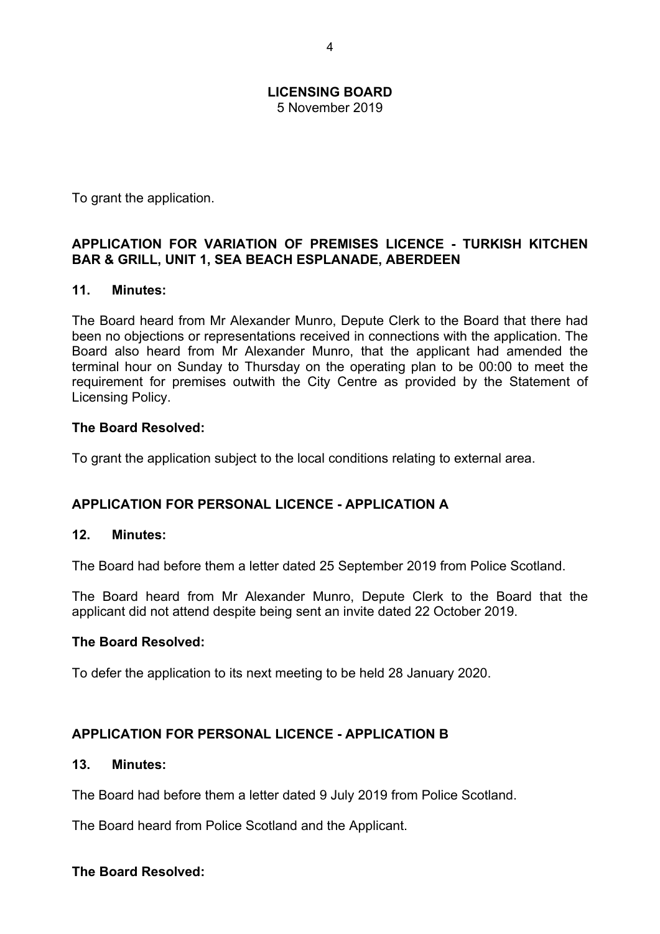#### **LICENSING BOARD** 5 November 2019

To grant the application.

# **APPLICATION FOR VARIATION OF PREMISES LICENCE - TURKISH KITCHEN BAR & GRILL, UNIT 1, SEA BEACH ESPLANADE, ABERDEEN**

# **11. Minutes:**

The Board heard from Mr Alexander Munro, Depute Clerk to the Board that there had been no objections or representations received in connections with the application. The Board also heard from Mr Alexander Munro, that the applicant had amended the terminal hour on Sunday to Thursday on the operating plan to be 00:00 to meet the requirement for premises outwith the City Centre as provided by the Statement of Licensing Policy.

# **The Board Resolved:**

To grant the application subject to the local conditions relating to external area.

# **APPLICATION FOR PERSONAL LICENCE - APPLICATION A**

# **12. Minutes:**

The Board had before them a letter dated 25 September 2019 from Police Scotland.

The Board heard from Mr Alexander Munro, Depute Clerk to the Board that the applicant did not attend despite being sent an invite dated 22 October 2019.

# **The Board Resolved:**

To defer the application to its next meeting to be held 28 January 2020.

# **APPLICATION FOR PERSONAL LICENCE - APPLICATION B**

#### **13. Minutes:**

The Board had before them a letter dated 9 July 2019 from Police Scotland.

The Board heard from Police Scotland and the Applicant.

# **The Board Resolved:**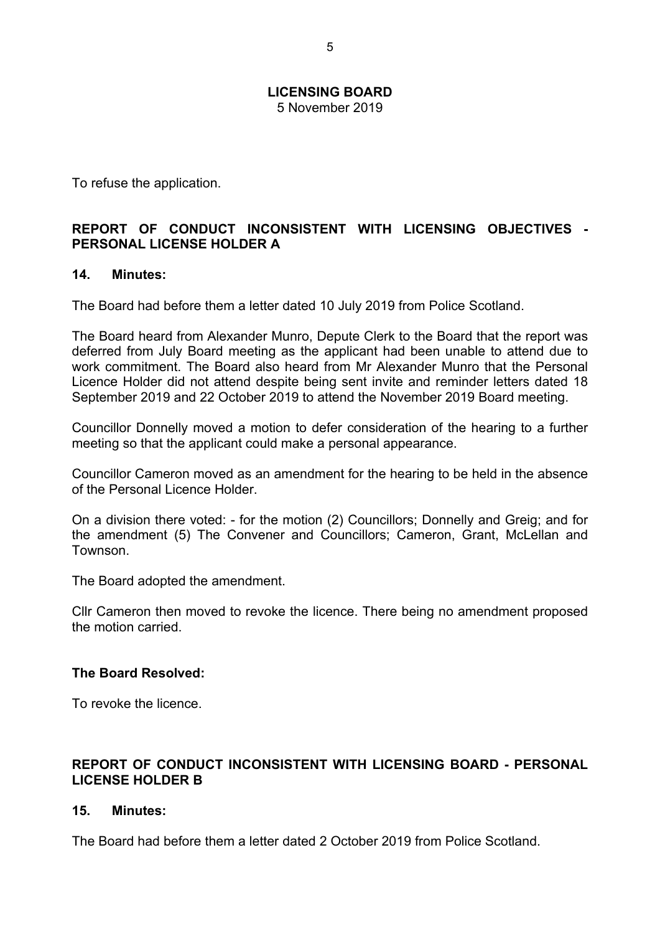5 November 2019

To refuse the application.

## **REPORT OF CONDUCT INCONSISTENT WITH LICENSING OBJECTIVES - PERSONAL LICENSE HOLDER A**

#### **14. Minutes:**

The Board had before them a letter dated 10 July 2019 from Police Scotland.

The Board heard from Alexander Munro, Depute Clerk to the Board that the report was deferred from July Board meeting as the applicant had been unable to attend due to work commitment. The Board also heard from Mr Alexander Munro that the Personal Licence Holder did not attend despite being sent invite and reminder letters dated 18 September 2019 and 22 October 2019 to attend the November 2019 Board meeting.

Councillor Donnelly moved a motion to defer consideration of the hearing to a further meeting so that the applicant could make a personal appearance.

Councillor Cameron moved as an amendment for the hearing to be held in the absence of the Personal Licence Holder.

On a division there voted: - for the motion (2) Councillors; Donnelly and Greig; and for the amendment (5) The Convener and Councillors; Cameron, Grant, McLellan and Townson.

The Board adopted the amendment.

Cllr Cameron then moved to revoke the licence. There being no amendment proposed the motion carried.

#### **The Board Resolved:**

To revoke the licence.

#### **REPORT OF CONDUCT INCONSISTENT WITH LICENSING BOARD - PERSONAL LICENSE HOLDER B**

#### **15. Minutes:**

The Board had before them a letter dated 2 October 2019 from Police Scotland.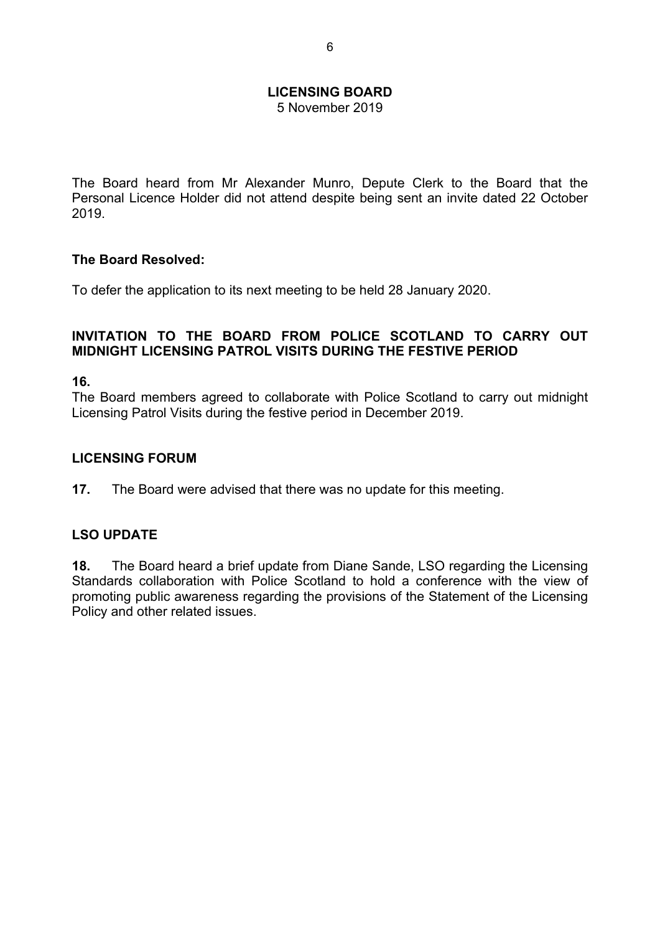5 November 2019

The Board heard from Mr Alexander Munro, Depute Clerk to the Board that the Personal Licence Holder did not attend despite being sent an invite dated 22 October 2019.

#### **The Board Resolved:**

To defer the application to its next meeting to be held 28 January 2020.

#### **INVITATION TO THE BOARD FROM POLICE SCOTLAND TO CARRY OUT MIDNIGHT LICENSING PATROL VISITS DURING THE FESTIVE PERIOD**

**16.**

The Board members agreed to collaborate with Police Scotland to carry out midnight Licensing Patrol Visits during the festive period in December 2019.

#### **LICENSING FORUM**

**17.** The Board were advised that there was no update for this meeting.

#### **LSO UPDATE**

**18.** The Board heard a brief update from Diane Sande, LSO regarding the Licensing Standards collaboration with Police Scotland to hold a conference with the view of promoting public awareness regarding the provisions of the Statement of the Licensing Policy and other related issues.